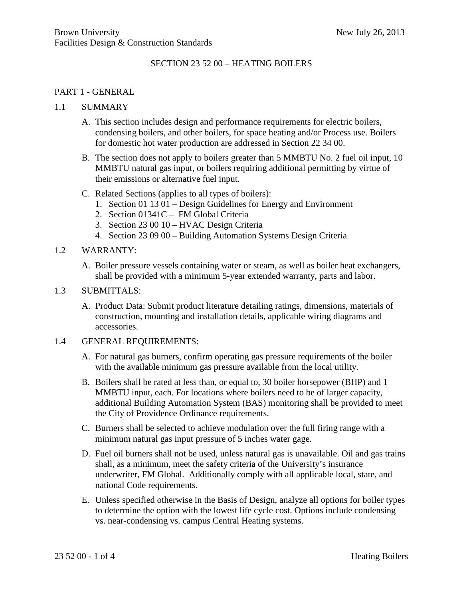## SECTION 23 52 00 – HEATING BOILERS

### PART 1 - GENERAL

#### 1.1 SUMMARY

- A. This section includes design and performance requirements for electric boilers, condensing boilers, and other boilers, for space heating and/or Process use. Boilers for domestic hot water production are addressed in Section 22 34 00.
- B. The section does not apply to boilers greater than 5 MMBTU No. 2 fuel oil input, 10 MMBTU natural gas input, or boilers requiring additional permitting by virtue of their emissions or alternative fuel input.
- C. Related Sections (applies to all types of boilers):
	- 1. Section 01 13 01 Design Guidelines for Energy and Environment
	- 2. Section 01341C FM Global Criteria
	- 3. Section 23 00 10 HVAC Design Criteria
	- 4. Section 23 09 00 Building Automation Systems Design Criteria

### 1.2 WARRANTY:

A. Boiler pressure vessels containing water or steam, as well as boiler heat exchangers, shall be provided with a minimum 5-year extended warranty, parts and labor.

#### 1.3 SUBMITTALS:

A. Product Data: Submit product literature detailing ratings, dimensions, materials of construction, mounting and installation details, applicable wiring diagrams and accessories.

#### 1.4 GENERAL REQUIREMENTS:

- A. For natural gas burners, confirm operating gas pressure requirements of the boiler with the available minimum gas pressure available from the local utility.
- B. Boilers shall be rated at less than, or equal to, 30 boiler horsepower (BHP) and 1 MMBTU input, each. For locations where boilers need to be of larger capacity, additional Building Automation System (BAS) monitoring shall be provided to meet the City of Providence Ordinance requirements.
- C. Burners shall be selected to achieve modulation over the full firing range with a minimum natural gas input pressure of 5 inches water gage.
- D. Fuel oil burners shall not be used, unless natural gas is unavailable. Oil and gas trains shall, as a minimum, meet the safety criteria of the University's insurance underwriter, FM Global. Additionally comply with all applicable local, state, and national Code requirements.
- E. Unless specified otherwise in the Basis of Design, analyze all options for boiler types to determine the option with the lowest life cycle cost. Options include condensing vs. near-condensing vs. campus Central Heating systems.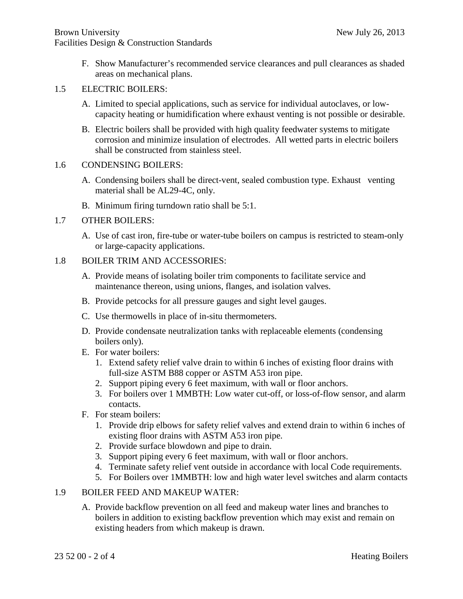F. Show Manufacturer's recommended service clearances and pull clearances as shaded areas on mechanical plans.

## 1.5 ELECTRIC BOILERS:

- A. Limited to special applications, such as service for individual autoclaves, or lowcapacity heating or humidification where exhaust venting is not possible or desirable.
- B. Electric boilers shall be provided with high quality feedwater systems to mitigate corrosion and minimize insulation of electrodes. All wetted parts in electric boilers shall be constructed from stainless steel.

## 1.6 CONDENSING BOILERS:

- A. Condensing boilers shall be direct-vent, sealed combustion type. Exhaust venting material shall be AL29-4C, only.
- B. Minimum firing turndown ratio shall be 5:1.
- 1.7 OTHER BOILERS:
	- A. Use of cast iron, fire-tube or water-tube boilers on campus is restricted to steam-only or large-capacity applications.

# 1.8 BOILER TRIM AND ACCESSORIES:

- A. Provide means of isolating boiler trim components to facilitate service and maintenance thereon, using unions, flanges, and isolation valves.
- B. Provide petcocks for all pressure gauges and sight level gauges.
- C. Use thermowells in place of in-situ thermometers.
- D. Provide condensate neutralization tanks with replaceable elements (condensing boilers only).
- E. For water boilers:
	- 1. Extend safety relief valve drain to within 6 inches of existing floor drains with full-size ASTM B88 copper or ASTM A53 iron pipe.
	- 2. Support piping every 6 feet maximum, with wall or floor anchors.
	- 3. For boilers over 1 MMBTH: Low water cut-off, or loss-of-flow sensor, and alarm contacts.
- F. For steam boilers:
	- 1. Provide drip elbows for safety relief valves and extend drain to within 6 inches of existing floor drains with ASTM A53 iron pipe.
	- 2. Provide surface blowdown and pipe to drain.
	- 3. Support piping every 6 feet maximum, with wall or floor anchors.
	- 4. Terminate safety relief vent outside in accordance with local Code requirements.
	- 5. For Boilers over 1MMBTH: low and high water level switches and alarm contacts

# 1.9 BOILER FEED AND MAKEUP WATER:

A. Provide backflow prevention on all feed and makeup water lines and branches to boilers in addition to existing backflow prevention which may exist and remain on existing headers from which makeup is drawn.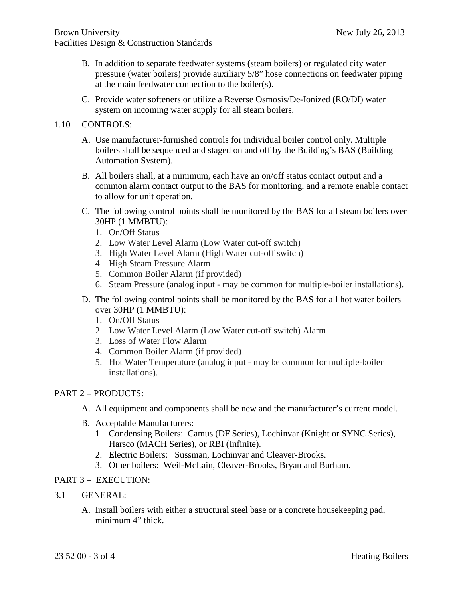- B. In addition to separate feedwater systems (steam boilers) or regulated city water pressure (water boilers) provide auxiliary 5/8" hose connections on feedwater piping at the main feedwater connection to the boiler(s).
- C. Provide water softeners or utilize a Reverse Osmosis/De-Ionized (RO/DI) water system on incoming water supply for all steam boilers.

## 1.10 CONTROLS:

- A. Use manufacturer-furnished controls for individual boiler control only. Multiple boilers shall be sequenced and staged on and off by the Building's BAS (Building Automation System).
- B. All boilers shall, at a minimum, each have an on/off status contact output and a common alarm contact output to the BAS for monitoring, and a remote enable contact to allow for unit operation.
- C. The following control points shall be monitored by the BAS for all steam boilers over 30HP (1 MMBTU):
	- 1. On/Off Status
	- 2. Low Water Level Alarm (Low Water cut-off switch)
	- 3. High Water Level Alarm (High Water cut-off switch)
	- 4. High Steam Pressure Alarm
	- 5. Common Boiler Alarm (if provided)
	- 6. Steam Pressure (analog input may be common for multiple-boiler installations).
- D. The following control points shall be monitored by the BAS for all hot water boilers over 30HP (1 MMBTU):
	- 1. On/Off Status
	- 2. Low Water Level Alarm (Low Water cut-off switch) Alarm
	- 3. Loss of Water Flow Alarm
	- 4. Common Boiler Alarm (if provided)
	- 5. Hot Water Temperature (analog input may be common for multiple-boiler installations).

### PART 2 – PRODUCTS:

- A. All equipment and components shall be new and the manufacturer's current model.
- B. Acceptable Manufacturers:
	- 1. Condensing Boilers: Camus (DF Series), Lochinvar (Knight or SYNC Series), Harsco (MACH Series), or RBI (Infinite).
	- 2. Electric Boilers: Sussman, Lochinvar and Cleaver-Brooks.
	- 3. Other boilers: Weil-McLain, Cleaver-Brooks, Bryan and Burham.

### PART 3 – EXECUTION:

- 3.1 GENERAL:
	- A. Install boilers with either a structural steel base or a concrete housekeeping pad, minimum 4" thick.